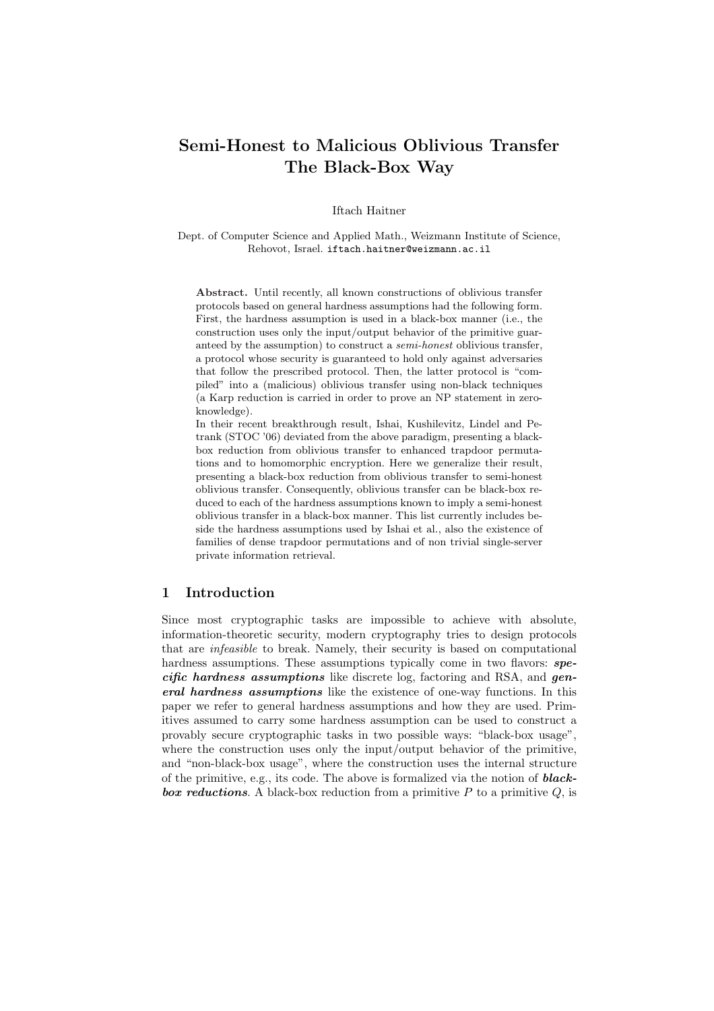# Semi-Honest to Malicious Oblivious Transfer The Black-Box Way

Iftach Haitner

Dept. of Computer Science and Applied Math., Weizmann Institute of Science, Rehovot, Israel. iftach.haitner@weizmann.ac.il

Abstract. Until recently, all known constructions of oblivious transfer protocols based on general hardness assumptions had the following form. First, the hardness assumption is used in a black-box manner (i.e., the construction uses only the input/output behavior of the primitive guaranteed by the assumption) to construct a semi-honest oblivious transfer, a protocol whose security is guaranteed to hold only against adversaries that follow the prescribed protocol. Then, the latter protocol is "compiled" into a (malicious) oblivious transfer using non-black techniques (a Karp reduction is carried in order to prove an NP statement in zeroknowledge).

In their recent breakthrough result, Ishai, Kushilevitz, Lindel and Petrank (STOC '06) deviated from the above paradigm, presenting a blackbox reduction from oblivious transfer to enhanced trapdoor permutations and to homomorphic encryption. Here we generalize their result, presenting a black-box reduction from oblivious transfer to semi-honest oblivious transfer. Consequently, oblivious transfer can be black-box reduced to each of the hardness assumptions known to imply a semi-honest oblivious transfer in a black-box manner. This list currently includes beside the hardness assumptions used by Ishai et al., also the existence of families of dense trapdoor permutations and of non trivial single-server private information retrieval.

# 1 Introduction

Since most cryptographic tasks are impossible to achieve with absolute, information-theoretic security, modern cryptography tries to design protocols that are infeasible to break. Namely, their security is based on computational hardness assumptions. These assumptions typically come in two flavors: **spe** $c$ *ific hardness assumptions* like discrete log, factoring and RSA, and *gen*eral hardness assumptions like the existence of one-way functions. In this paper we refer to general hardness assumptions and how they are used. Primitives assumed to carry some hardness assumption can be used to construct a provably secure cryptographic tasks in two possible ways: "black-box usage", where the construction uses only the input/output behavior of the primitive, and "non-black-box usage", where the construction uses the internal structure of the primitive, e.g., its code. The above is formalized via the notion of **blackbox reductions.** A black-box reduction from a primitive  $P$  to a primitive  $Q$ , is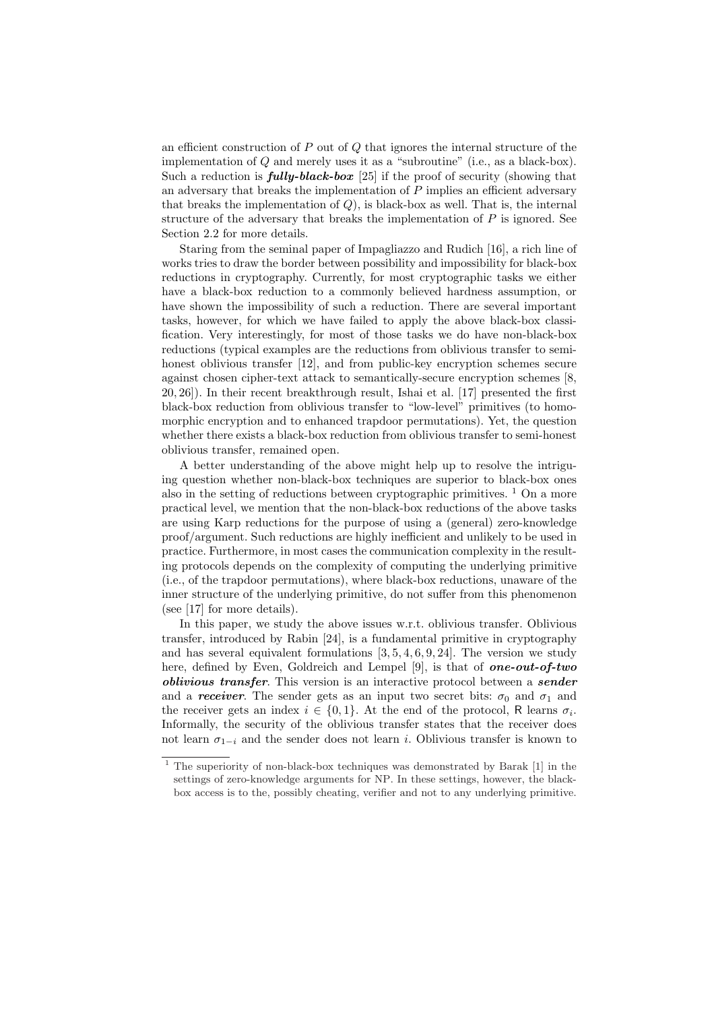an efficient construction of  $P$  out of  $Q$  that ignores the internal structure of the implementation of Q and merely uses it as a "subroutine" (i.e., as a black-box). Such a reduction is  $fully-black-box$  [25] if the proof of security (showing that an adversary that breaks the implementation of  $P$  implies an efficient adversary that breaks the implementation of  $Q$ ), is black-box as well. That is, the internal structure of the adversary that breaks the implementation of  $P$  is ignored. See Section 2.2 for more details.

Staring from the seminal paper of Impagliazzo and Rudich [16], a rich line of works tries to draw the border between possibility and impossibility for black-box reductions in cryptography. Currently, for most cryptographic tasks we either have a black-box reduction to a commonly believed hardness assumption, or have shown the impossibility of such a reduction. There are several important tasks, however, for which we have failed to apply the above black-box classification. Very interestingly, for most of those tasks we do have non-black-box reductions (typical examples are the reductions from oblivious transfer to semihonest oblivious transfer [12], and from public-key encryption schemes secure against chosen cipher-text attack to semantically-secure encryption schemes [8, 20, 26]). In their recent breakthrough result, Ishai et al. [17] presented the first black-box reduction from oblivious transfer to "low-level" primitives (to homomorphic encryption and to enhanced trapdoor permutations). Yet, the question whether there exists a black-box reduction from oblivious transfer to semi-honest oblivious transfer, remained open.

A better understanding of the above might help up to resolve the intriguing question whether non-black-box techniques are superior to black-box ones also in the setting of reductions between cryptographic primitives.  $\frac{1}{1}$  On a more practical level, we mention that the non-black-box reductions of the above tasks are using Karp reductions for the purpose of using a (general) zero-knowledge proof/argument. Such reductions are highly inefficient and unlikely to be used in practice. Furthermore, in most cases the communication complexity in the resulting protocols depends on the complexity of computing the underlying primitive (i.e., of the trapdoor permutations), where black-box reductions, unaware of the inner structure of the underlying primitive, do not suffer from this phenomenon (see [17] for more details).

In this paper, we study the above issues w.r.t. oblivious transfer. Oblivious transfer, introduced by Rabin [24], is a fundamental primitive in cryptography and has several equivalent formulations  $[3, 5, 4, 6, 9, 24]$ . The version we study here, defined by Even, Goldreich and Lempel [9], is that of **one-out-of-two** *oblivious transfer*. This version is an interactive protocol between a **sender** and a receiver. The sender gets as an input two secret bits:  $\sigma_0$  and  $\sigma_1$  and the receiver gets an index  $i \in \{0,1\}$ . At the end of the protocol, R learns  $\sigma_i$ . Informally, the security of the oblivious transfer states that the receiver does not learn  $\sigma_{1-i}$  and the sender does not learn *i*. Oblivious transfer is known to

<sup>&</sup>lt;sup>1</sup> The superiority of non-black-box techniques was demonstrated by Barak [1] in the settings of zero-knowledge arguments for NP. In these settings, however, the blackbox access is to the, possibly cheating, verifier and not to any underlying primitive.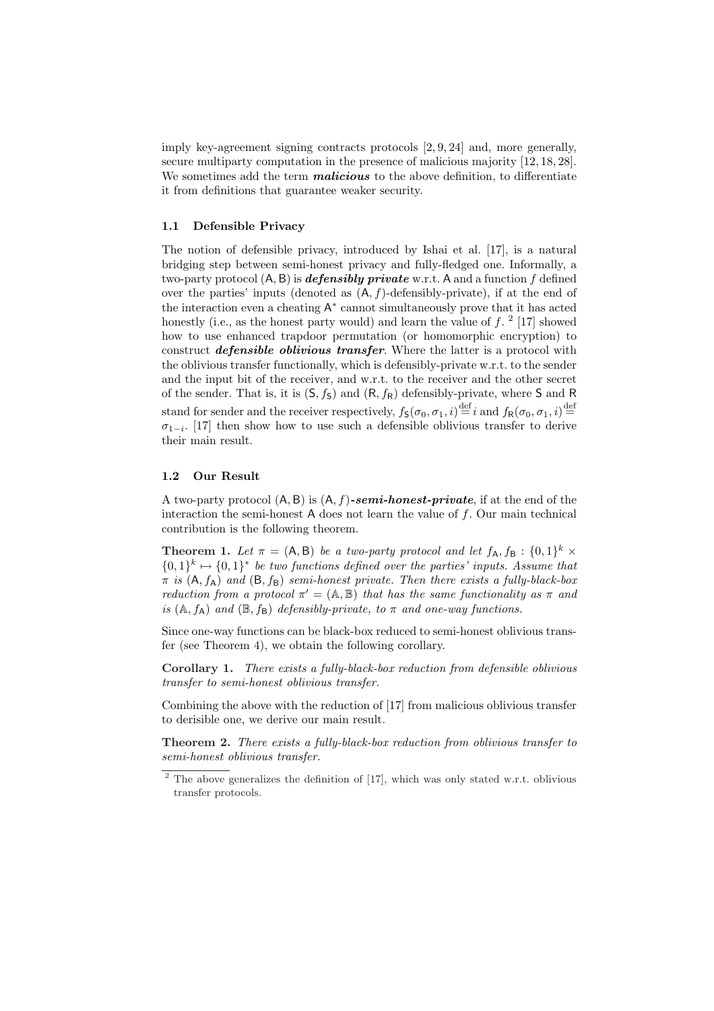imply key-agreement signing contracts protocols [2, 9, 24] and, more generally, secure multiparty computation in the presence of malicious majority [12, 18, 28]. We sometimes add the term *malicious* to the above definition, to differentiate it from definitions that guarantee weaker security.

#### 1.1 Defensible Privacy

The notion of defensible privacy, introduced by Ishai et al. [17], is a natural bridging step between semi-honest privacy and fully-fledged one. Informally, a two-party protocol  $(A, B)$  is *defensibly private* w.r.t. A and a function f defined over the parties' inputs (denoted as  $(A, f)$ -defensibly-private), if at the end of the interaction even a cheating A<sup>∗</sup> cannot simultaneously prove that it has acted honestly (i.e., as the honest party would) and learn the value of  $f<sup>2</sup>$  [17] showed how to use enhanced trapdoor permutation (or homomorphic encryption) to construct *defensible oblivious transfer*. Where the latter is a protocol with the oblivious transfer functionally, which is defensibly-private w.r.t. to the sender and the input bit of the receiver, and w.r.t. to the receiver and the other secret of the sender. That is, it is  $(S, f_S)$  and  $(R, f_R)$  defensibly-private, where S and R stand for sender and the receiver respectively,  $f_S(\sigma_0, \sigma_1, i) \stackrel{\text{def}}{=} i$  and  $f_R(\sigma_0, \sigma_1, i) \stackrel{\text{def}}{=}$  $\sigma_{1-i}$ . [17] then show how to use such a defensible oblivious transfer to derive their main result.

## 1.2 Our Result

A two-party protocol  $(A, B)$  is  $(A, f)$ -semi-honest-private, if at the end of the interaction the semi-honest  $A$  does not learn the value of  $f$ . Our main technical contribution is the following theorem.

**Theorem 1.** Let  $\pi = (A, B)$  be a two-party protocol and let  $f_A, f_B : \{0, 1\}^k \times$  ${0,1}^k \mapsto {0,1}^*$  be two functions defined over the parties' inputs. Assume that  $\pi$  is  $(A, f_A)$  and  $(B, f_B)$  semi-honest private. Then there exists a fully-black-box reduction from a protocol  $\pi' = (A, B)$  that has the same functionality as  $\pi$  and is  $(A, f_A)$  and  $(\mathbb{B}, f_B)$  defensibly-private, to  $\pi$  and one-way functions.

Since one-way functions can be black-box reduced to semi-honest oblivious transfer (see Theorem 4), we obtain the following corollary.

Corollary 1. There exists a fully-black-box reduction from defensible oblivious transfer to semi-honest oblivious transfer.

Combining the above with the reduction of [17] from malicious oblivious transfer to derisible one, we derive our main result.

Theorem 2. There exists a fully-black-box reduction from oblivious transfer to semi-honest oblivious transfer.

 $2$  The above generalizes the definition of [17], which was only stated w.r.t. oblivious transfer protocols.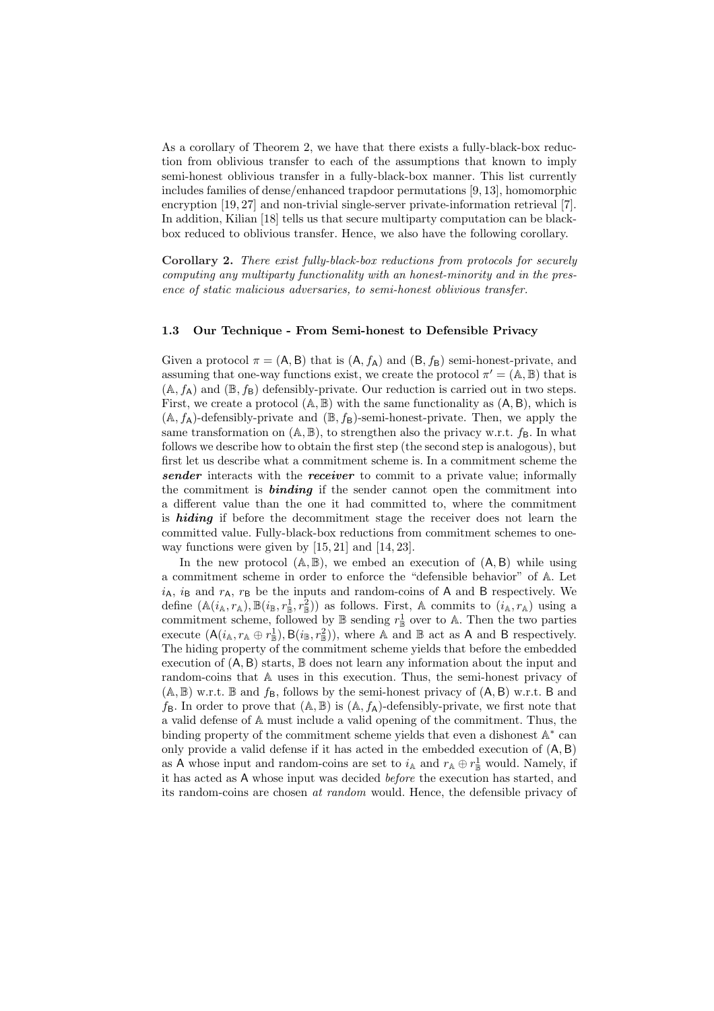As a corollary of Theorem 2, we have that there exists a fully-black-box reduction from oblivious transfer to each of the assumptions that known to imply semi-honest oblivious transfer in a fully-black-box manner. This list currently includes families of dense/enhanced trapdoor permutations [9, 13], homomorphic encryption [19, 27] and non-trivial single-server private-information retrieval [7]. In addition, Kilian [18] tells us that secure multiparty computation can be blackbox reduced to oblivious transfer. Hence, we also have the following corollary.

Corollary 2. There exist fully-black-box reductions from protocols for securely computing any multiparty functionality with an honest-minority and in the presence of static malicious adversaries, to semi-honest oblivious transfer.

#### 1.3 Our Technique - From Semi-honest to Defensible Privacy

Given a protocol  $\pi = (A, B)$  that is  $(A, f_A)$  and  $(B, f_B)$  semi-honest-private, and assuming that one-way functions exist, we create the protocol  $\pi' = (A, B)$  that is  $(A, f_A)$  and  $(\mathbb{B}, f_B)$  defensibly-private. Our reduction is carried out in two steps. First, we create a protocol  $(A, B)$  with the same functionality as  $(A, B)$ , which is  $(A, f_A)$ -defensibly-private and  $(\mathbb{B}, f_B)$ -semi-honest-private. Then, we apply the same transformation on  $(A, B)$ , to strengthen also the privacy w.r.t.  $f_B$ . In what follows we describe how to obtain the first step (the second step is analogous), but first let us describe what a commitment scheme is. In a commitment scheme the sender interacts with the receiver to commit to a private value; informally the commitment is **binding** if the sender cannot open the commitment into a different value than the one it had committed to, where the commitment is *hiding* if before the decommitment stage the receiver does not learn the committed value. Fully-black-box reductions from commitment schemes to oneway functions were given by [15, 21] and [14, 23].

In the new protocol  $(A, B)$ , we embed an execution of  $(A, B)$  while using a commitment scheme in order to enforce the "defensible behavior" of A. Let  $i_A$ ,  $i_B$  and  $r_A$ ,  $r_B$  be the inputs and random-coins of A and B respectively. We define  $(\mathbb{A}(i_{\mathbb{A}},r_{\mathbb{A}}),\mathbb{B}(i_{\mathbb{B}},r_{\mathbb{B}}^1,r_{\mathbb{B}}^2))$  as follows. First, A commits to  $(i_{\mathbb{A}},r_{\mathbb{A}})$  using a commitment scheme, followed by  $\mathbb B$  sending  $r^1_{\mathbb B}$  over to A. Then the two parties execute  $(A(i_A, r_A \oplus r_B^1), B(i_B, r_B^2)),$  where A and B act as A and B respectively. The hiding property of the commitment scheme yields that before the embedded execution of  $(A, B)$  starts,  $\mathbb B$  does not learn any information about the input and random-coins that A uses in this execution. Thus, the semi-honest privacy of  $(A, B)$  w.r.t. B and  $f_B$ , follows by the semi-honest privacy of  $(A, B)$  w.r.t. B and  $f_{\mathsf{B}}$ . In order to prove that  $(\mathbb{A}, \mathbb{B})$  is  $(\mathbb{A}, f_{\mathsf{A}})$ -defensibly-private, we first note that a valid defense of A must include a valid opening of the commitment. Thus, the binding property of the commitment scheme yields that even a dishonest A<sup>\*</sup> can only provide a valid defense if it has acted in the embedded execution of (A, B) as A whose input and random-coins are set to  $i_{\mathbb{A}}$  and  $r_{\mathbb{A}} \oplus r_{\mathbb{B}}^1$  would. Namely, if it has acted as A whose input was decided before the execution has started, and its random-coins are chosen at random would. Hence, the defensible privacy of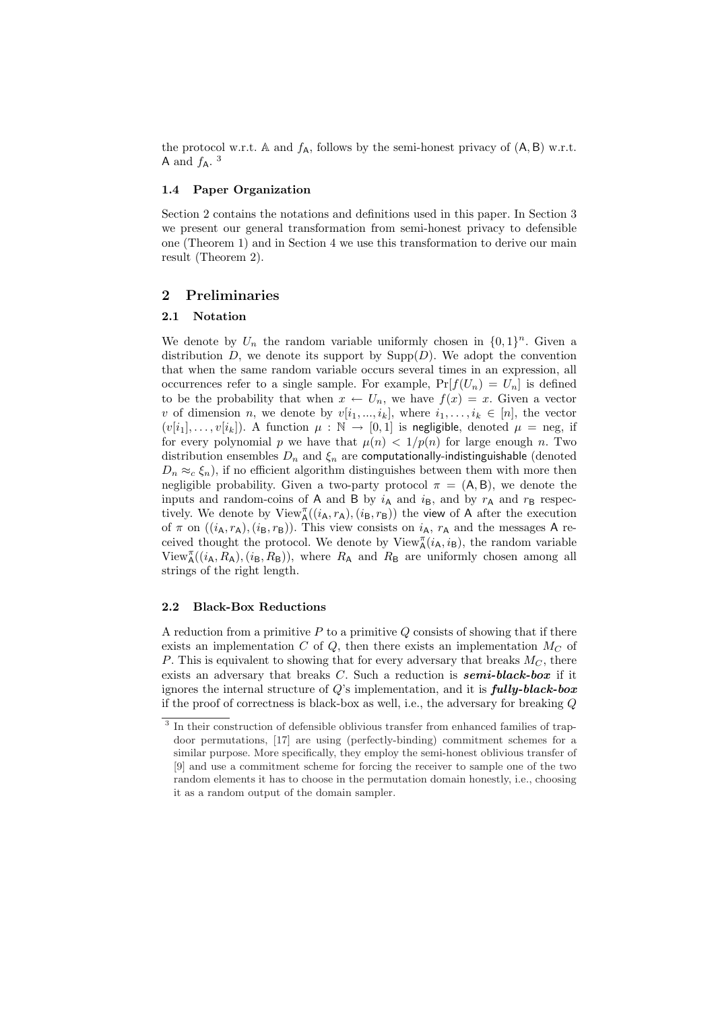the protocol w.r.t. A and  $f_A$ , follows by the semi-honest privacy of  $(A, B)$  w.r.t. A and  $f_A$ .<sup>3</sup>

# 1.4 Paper Organization

Section 2 contains the notations and definitions used in this paper. In Section 3 we present our general transformation from semi-honest privacy to defensible one (Theorem 1) and in Section 4 we use this transformation to derive our main result (Theorem 2).

# 2 Preliminaries

## 2.1 Notation

We denote by  $U_n$  the random variable uniformly chosen in  $\{0,1\}^n$ . Given a distribution D, we denote its support by  $\text{Supp}(D)$ . We adopt the convention that when the same random variable occurs several times in an expression, all occurrences refer to a single sample. For example,  $Pr[f(U_n) = U_n]$  is defined to be the probability that when  $x \leftarrow U_n$ , we have  $f(x) = x$ . Given a vector v of dimension n, we denote by  $v[i_1, ..., i_k]$ , where  $i_1, ..., i_k \in [n]$ , the vector  $(v[i_1], \ldots, v[i_k])$ . A function  $\mu : \mathbb{N} \to [0,1]$  is negligible, denoted  $\mu =$  neg, if for every polynomial p we have that  $\mu(n) < 1/p(n)$  for large enough n. Two distribution ensembles  $D_n$  and  $\xi_n$  are computationally-indistinguishable (denoted  $D_n \approx_c \xi_n$ , if no efficient algorithm distinguishes between them with more then negligible probability. Given a two-party protocol  $\pi = (A, B)$ , we denote the inputs and random-coins of A and B by  $i_A$  and  $i_B$ , and by  $r_A$  and  $r_B$  respectively. We denote by  $View_{\mathsf{A}}^{\pi}((i_{\mathsf{A}}, r_{\mathsf{A}}), (i_{\mathsf{B}}, r_{\mathsf{B}}))$  the view of A after the execution of  $\pi$  on  $((i_{A}, r_{A}), (i_{B}, r_{B}))$ . This view consists on  $i_{A}, r_{A}$  and the messages A received thought the protocol. We denote by  $View_{\mathsf{A}}^{\pi}(i_{\mathsf{A}}, i_{\mathsf{B}})$ , the random variable  $View_{\mathsf{A}}^{\pi}((i_{\mathsf{A}}, R_{\mathsf{A}}), (i_{\mathsf{B}}, R_{\mathsf{B}}))$ , where  $R_{\mathsf{A}}$  and  $R_{\mathsf{B}}$  are uniformly chosen among all strings of the right length.

#### 2.2 Black-Box Reductions

A reduction from a primitive  $P$  to a primitive  $Q$  consists of showing that if there exists an implementation C of Q, then there exists an implementation  $M_C$  of P. This is equivalent to showing that for every adversary that breaks  $M_C$ , there exists an adversary that breaks C. Such a reduction is **semi-black-box** if it ignores the internal structure of  $Q$ 's implementation, and it is  $\textit{fully-block-box}$ if the proof of correctness is black-box as well, i.e., the adversary for breaking Q

<sup>&</sup>lt;sup>3</sup> In their construction of defensible oblivious transfer from enhanced families of trapdoor permutations, [17] are using (perfectly-binding) commitment schemes for a similar purpose. More specifically, they employ the semi-honest oblivious transfer of [9] and use a commitment scheme for forcing the receiver to sample one of the two random elements it has to choose in the permutation domain honestly, i.e., choosing it as a random output of the domain sampler.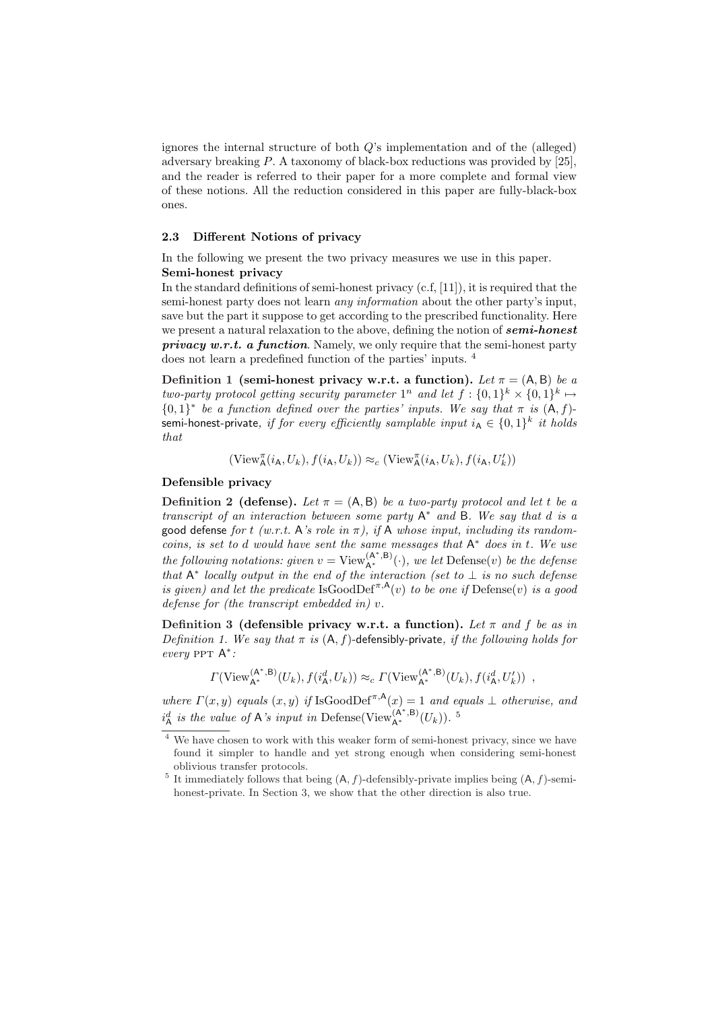ignores the internal structure of both Q's implementation and of the (alleged) adversary breaking P. A taxonomy of black-box reductions was provided by [25], and the reader is referred to their paper for a more complete and formal view of these notions. All the reduction considered in this paper are fully-black-box ones.

#### 2.3 Different Notions of privacy

In the following we present the two privacy measures we use in this paper. Semi-honest privacy

In the standard definitions of semi-honest privacy  $(c.f., [11])$ , it is required that the semi-honest party does not learn *any information* about the other party's input, save but the part it suppose to get according to the prescribed functionality. Here we present a natural relaxation to the above, defining the notion of **semi-honest privacy w.r.t. a function.** Namely, we only require that the semi-honest party does not learn a predefined function of the parties' inputs. <sup>4</sup>

Definition 1 (semi-honest privacy w.r.t. a function). Let  $\pi = (A, B)$  be a two-party protocol getting security parameter  $1^n$  and let  $f: \{0,1\}^k \times \{0,1\}^k \mapsto$  ${0,1}^*$  be a function defined over the parties' inputs. We say that  $\pi$  is  $(A, f)$ semi-honest-private, if for every efficiently samplable input  $i_A \in \{0,1\}^k$  it holds that

$$
(\mathrm{View}_{\mathsf{A}}^{\pi}(i_{\mathsf{A}}, U_k), f(i_{\mathsf{A}}, U_k)) \approx_c (\mathrm{View}_{\mathsf{A}}^{\pi}(i_{\mathsf{A}}, U_k), f(i_{\mathsf{A}}, U'_k))
$$

#### Defensible privacy

**Definition 2 (defense).** Let  $\pi = (A, B)$  be a two-party protocol and let t be a transcript of an interaction between some party  $A^*$  and B. We say that d is a good defense for t (w.r.t. A's role in  $\pi$ ), if A whose input, including its randomcoins, is set to d would have sent the same messages that  $A^*$  does in t. We use the following notations: given  $v = \text{View}_{A^*}^{(A^*,B)}(\cdot)$ , we let  $\text{Define}(v)$  be the defense that  $A^*$  locally output in the end of the interaction (set to  $\perp$  is no such defense is given) and let the predicate IsGoodDef<sup> $\pi, A$ </sup>(v) to be one if Defense(v) is a good defense for (the transcript embedded in) v.

Definition 3 (defensible privacy w.r.t. a function). Let  $\pi$  and  $f$  be as in Definition 1. We say that  $\pi$  is  $(A, f)$ -defensibly-private, if the following holds for every PPT A<sup>\*</sup>:

 $\Gamma(\text{View}_{A^*}^{(A^*,B)}(U_k), f(i_A^d, U_k)) \approx_c \Gamma(\text{View}_{A^*}^{(A^*,B)}(U_k), f(i_A^d, U_k'))$ 

where  $\Gamma(x, y)$  equals  $(x, y)$  if IsGoodDef<sup> $\pi, A(x) = 1$ </sup> and equals  $\bot$  otherwise, and  $i_{\mathsf{A}}^d$  is the value of A's input in Defense(View<sub>A\*</sub>, B)<sub>(Uk)</sub>).<sup>5</sup>

 $^4$  We have chosen to work with this weaker form of semi-honest privacy, since we have found it simpler to handle and yet strong enough when considering semi-honest oblivious transfer protocols.

<sup>&</sup>lt;sup>5</sup> It immediately follows that being  $(A, f)$ -defensibly-private implies being  $(A, f)$ -semihonest-private. In Section 3, we show that the other direction is also true.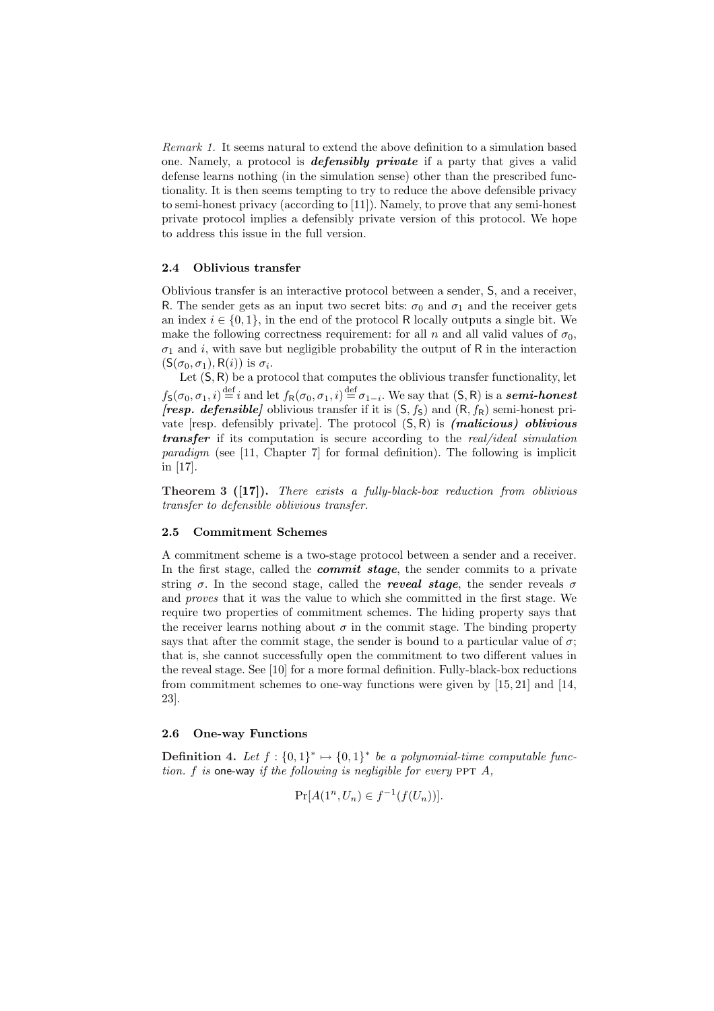Remark 1. It seems natural to extend the above definition to a simulation based one. Namely, a protocol is **defensibly private** if a party that gives a valid defense learns nothing (in the simulation sense) other than the prescribed functionality. It is then seems tempting to try to reduce the above defensible privacy to semi-honest privacy (according to [11]). Namely, to prove that any semi-honest private protocol implies a defensibly private version of this protocol. We hope to address this issue in the full version.

#### 2.4 Oblivious transfer

Oblivious transfer is an interactive protocol between a sender, S, and a receiver, R. The sender gets as an input two secret bits:  $\sigma_0$  and  $\sigma_1$  and the receiver gets an index  $i \in \{0,1\}$ , in the end of the protocol R locally outputs a single bit. We make the following correctness requirement: for all n and all valid values of  $\sigma_0$ ,  $\sigma_1$  and i, with save but negligible probability the output of R in the interaction  $(S(\sigma_0, \sigma_1), R(i))$  is  $\sigma_i$ .

Let  $(S, R)$  be a protocol that computes the oblivious transfer functionality, let  $f_{\mathsf{S}}(\sigma_0,\sigma_1,i) \stackrel{\text{def}}{=} i$  and let  $f_{\mathsf{R}}(\sigma_0,\sigma_1,i) \stackrel{\text{def}}{=} \sigma_{1-i}$ . We say that  $(\mathsf{S},\mathsf{R})$  is a **semi-honest [resp. defensible]** oblivious transfer if it is  $(S, f_S)$  and  $(R, f_R)$  semi-honest private  $[resp.$  defensibly privatel. The protocol  $(S, R)$  is *(malicious) oblivious* **transfer** if its computation is secure according to the real/ideal simulation paradigm (see [11, Chapter 7] for formal definition). The following is implicit in [17].

Theorem 3 ([17]). There exists a fully-black-box reduction from oblivious transfer to defensible oblivious transfer.

## 2.5 Commitment Schemes

A commitment scheme is a two-stage protocol between a sender and a receiver. In the first stage, called the *commit stage*, the sender commits to a private string  $\sigma$ . In the second stage, called the *reveal stage*, the sender reveals  $\sigma$ and proves that it was the value to which she committed in the first stage. We require two properties of commitment schemes. The hiding property says that the receiver learns nothing about  $\sigma$  in the commit stage. The binding property says that after the commit stage, the sender is bound to a particular value of  $\sigma$ ; that is, she cannot successfully open the commitment to two different values in the reveal stage. See [10] for a more formal definition. Fully-black-box reductions from commitment schemes to one-way functions were given by [15, 21] and [14, 23].

#### 2.6 One-way Functions

**Definition 4.** Let  $f: \{0,1\}^* \mapsto \{0,1\}^*$  be a polynomial-time computable function. f is one-way if the following is negligible for every  $PPT A$ ,

$$
\Pr[A(1^n, U_n) \in f^{-1}(f(U_n))].
$$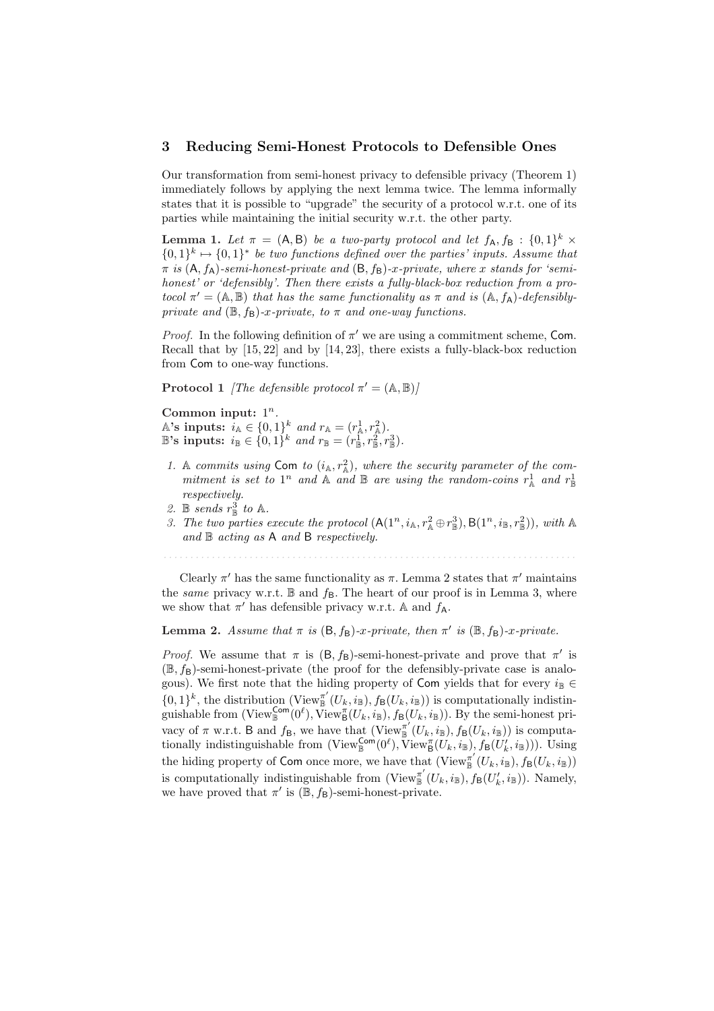#### 3 Reducing Semi-Honest Protocols to Defensible Ones

Our transformation from semi-honest privacy to defensible privacy (Theorem 1) immediately follows by applying the next lemma twice. The lemma informally states that it is possible to "upgrade" the security of a protocol w.r.t. one of its parties while maintaining the initial security w.r.t. the other party.

**Lemma 1.** Let  $\pi = (A, B)$  be a two-party protocol and let  $f_A, f_B : \{0, 1\}^k \times$  $\{0,1\}^k \mapsto \{0,1\}^*$  be two functions defined over the parties' inputs. Assume that  $\pi$  is  $(A, f_A)$ -semi-honest-private and  $(B, f_B)$ -x-private, where x stands for 'semihonest' or 'defensibly'. Then there exists a fully-black-box reduction from a protocol  $\pi' = (A, B)$  that has the same functionality as  $\pi$  and is  $(A, f_A)$ -defensiblyprivate and  $(\mathbb{B}, f_{\mathsf{B}})$ -x-private, to  $\pi$  and one-way functions.

*Proof.* In the following definition of  $\pi'$  we are using a commitment scheme, Com. Recall that by [15, 22] and by [14, 23], there exists a fully-black-box reduction from Com to one-way functions.

**Protocol 1** *[The defensible protocol*  $\pi' = (\mathbb{A}, \mathbb{B})$ *]* 

Common input:  $1^n$ . A's inputs:  $i_{\mathbb{A}} \in \{0,1\}^k$  and  $r_{\mathbb{A}} = (r_{\mathbb{A}}^1, r_{\mathbb{A}}^2)$ .  $\mathbb{B}$ 's inputs:  $i_{\mathbb{B}} \in \{0,1\}^k$  and  $r_{\mathbb{B}} = (r_{\mathbb{B}}^1, r_{\mathbb{B}}^2, r_{\mathbb{B}}^3)$ .

- 1. A commits using Com to  $(i_{\mathbb{A}}, r_{\mathbb{A}}^2)$ , where the security parameter of the commitment is set to  $1^n$  and  $\mathbb A$  and  $\mathbb B$  are using the random-coins  $r_{\mathbb A}^1$  and  $r_{\mathbb B}^1$ respectively.
- 2. B sends  $r_{\mathbb{B}}^3$  to A.
- 3. The two parties execute the protocol  $(A(1^n, i_A, r_A^2 \oplus r_B^3), B(1^n, i_B, r_B^2)),$  with A and  $\mathbb B$  acting as A and B respectively.

Clearly  $\pi'$  has the same functionality as  $\pi$ . Lemma 2 states that  $\pi'$  maintains the same privacy w.r.t.  $\mathbb B$  and  $f_{\mathsf{B}}$ . The heart of our proof is in Lemma 3, where we show that  $\pi'$  has defensible privacy w.r.t. A and  $f_A$ .

Lemma 2. Assume that  $\pi$  is  $(B, f_B)$ -x-private, then  $\pi'$  is  $(\mathbb{B}, f_B)$ -x-private.

*Proof.* We assume that  $\pi$  is  $(B, f_B)$ -semi-honest-private and prove that  $\pi'$  is  $(\mathbb{B}, f_{\mathsf{B}})$ -semi-honest-private (the proof for the defensibly-private case is analogous). We first note that the hiding property of Com yields that for every  $i_{\mathbb{B}} \in$  $\{0,1\}^k$ , the distribution (View<sup>n'</sup>  $\mathbb{B}^{\pi'}(U_k, i_{\mathbb{B}}), f_{\mathsf{B}}(U_k, i_{\mathbb{B}}))$  is computationally indistinguishable from  $(\text{View}_{\mathbb{B}}^{\textsf{Com}}(0^{\ell}), \text{View}_{\mathbb{B}}^{\pi}(U_k, i_{\mathbb{B}}), f_{\mathbb{B}}(U_k, i_{\mathbb{B}})).$  By the semi-honest privacy of  $\pi$  w.r.t. B and  $f_{\mathsf{B}}$ , we have that (View $_{\mathbb{B}}^{\pi'}$ )  $\mathcal{L}_{\mathbb{B}}(U_k, i_{\mathbb{B}}), f_{\mathsf{B}}(U_k, i_{\mathbb{B}}))$  is computationally indistinguishable from  $(\text{View}_{\mathbb{B}}^{\text{Com}}(0^{\ell}), \text{View}_{\mathbb{B}}^{\pi}(U_k, i_{\mathbb{B}}), f_{\mathbb{B}}(U'_k, i_{\mathbb{B}})))$ . Using the hiding property of Com once more, we have that  $(\mathrm{View}_{\mathbb{R}}^{\pi'})$  $\frac{\pi}{\mathbb{B}}\left(U_k, i_{\mathbb{B}}\right), f_{\mathsf{B}}(U_k, i_{\mathbb{B}})\right)$ is computationally indistinguishable from (View $\pi$ <sup>'</sup>  $\mathcal{L}_{\mathbb{B}}^{\pi'}(U_k, i_{\mathbb{B}}), f_{\mathsf{B}}(U'_k, i_{\mathbb{B}})).$  Namely, we have proved that  $\pi'$  is  $(\mathbb{B}, f_{\mathsf{B}})$ -semi-honest-private.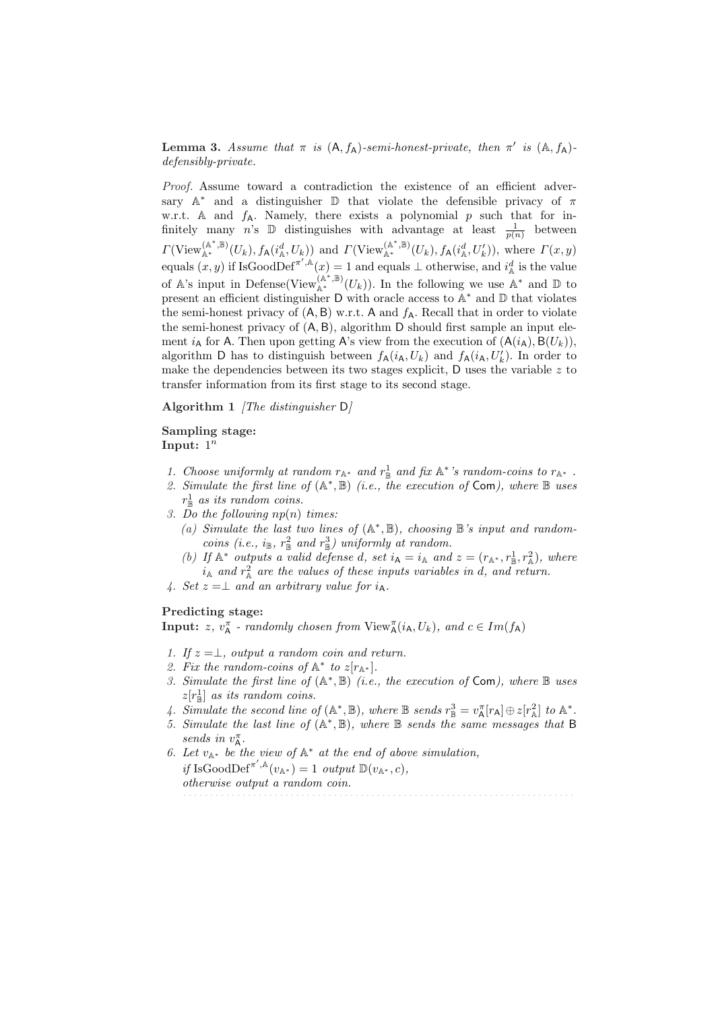Lemma 3. Assume that  $\pi$  is  $(A, f_A)$ -semi-honest-private, then  $\pi'$  is  $(A, f_A)$ defensibly-private.

Proof. Assume toward a contradiction the existence of an efficient adversary  $A^*$  and a distinguisher  $\mathbb D$  that violate the defensible privacy of  $\pi$ w.r.t. A and  $f_A$ . Namely, there exists a polynomial  $p$  such that for infinitely many n's  $\mathbb D$  distinguishes with advantage at least  $\frac{1}{p(n)}$  between  $\Gamma(\mathrm{View}_{\mathbb{A}^*}^{(\mathbb{A}^*, \mathbb{B})}(U_k), f_{\mathsf{A}}(i_{\mathbb{A}}^d, U_k))$  and  $\Gamma(\mathrm{View}_{\mathbb{A}^*}^{(\mathbb{A}^*, \mathbb{B})}(U_k), f_{\mathsf{A}}(i_{\mathbb{A}}^d, U_k'))$ , where  $\Gamma(x, y)$ equals  $(x, y)$  if IsGoodDef<sup> $\pi', \mathbb{A}(x) = 1$  and equals  $\perp$  otherwise, and  $i_{\mathbb{A}}^d$  is the value</sup> of A's input in Defense(View $_{A^*}^{(A^*,B)}(U_k)$ ). In the following we use  $A^*$  and  $D$  to present an efficient distinguisher D with oracle access to A<sup>∗</sup> and D that violates the semi-honest privacy of  $(A, B)$  w.r.t. A and  $f_A$ . Recall that in order to violate the semi-honest privacy of (A, B), algorithm D should first sample an input element  $i_A$  for A. Then upon getting A's view from the execution of  $(A(i_A), B(U_k)),$ algorithm D has to distinguish between  $f_{\mathsf{A}}(i_{\mathsf{A}}, U_{k})$  and  $f_{\mathsf{A}}(i_{\mathsf{A}}, U_{k}')$ . In order to make the dependencies between its two stages explicit,  $D$  uses the variable z to transfer information from its first stage to its second stage.

Algorithm 1 *[The distinguisher D]* 

## Sampling stage: Input:  $1^n$

- 1. Choose uniformly at random  $r_{\mathbb{A}^*}$  and  $r_{\mathbb{B}}^1$  and fix  $\mathbb{A}^*$ 's random-coins to  $r_{\mathbb{A}^*}$ .
- 2. Simulate the first line of  $(A^*,\mathbb{B})$  (i.e., the execution of Com), where  $\mathbb{B}$  uses  $r_{\mathbb{B}}^1$  as its random coins.
- 3. Do the following  $np(n)$  times:
	- (a) Simulate the last two lines of  $(A^*, B)$ , choosing B's input and randomcoins (i.e.,  $i_{\mathbb{B}}$ ,  $r_{\mathbb{B}}^2$  and  $r_{\mathbb{B}}^3$ ) uniformly at random.
	- (b) If  $\mathbb{A}^*$  outputs a valid defense d, set  $i_{\mathsf{A}} = i_{\mathbb{A}}$  and  $z = (r_{\mathbb{A}^*}, r_{\mathbb{B}}^1, r_{\mathbb{A}}^2)$ , where  $i_{\mathbb{A}}$  and  $r_{\mathbb{A}}^2$  are the values of these inputs variables in d, and return.
- 4. Set  $z = \perp$  and an arbitrary value for  $i_A$ .

#### Predicting stage:

**Input:** z,  $v_A^{\pi}$  - randomly chosen from  $View_A^{\pi}(i_A, U_k)$ , and  $c \in Im(f_A)$ 

- 1. If  $z = \perp$ , output a random coin and return.
- 2. Fix the random-coins of  $\mathbb{A}^*$  to  $z[r_{\mathbb{A}^*}]$ .
- 3. Simulate the first line of  $(A^*, B)$  (i.e., the execution of Com), where  $B$  uses  $z[r^1_{\mathbb{B}}]$  as its random coins.
- 4. Simulate the second line of  $(\mathbb{A}^*, \mathbb{B})$ , where  $\mathbb B$  sends  $r_{\mathbb{B}}^3 = v_{\mathsf{A}}^{\pi}[r_{\mathsf{A}}] \oplus z[r_{\mathbb{A}}^2]$  to  $\mathbb{A}^*$ .
- 5. Simulate the last line of  $(A^*, B)$ , where B sends the same messages that B sends in  $v_{\mathsf{A}}^{\pi}$ .
- 6. Let  $v_{\mathbb{A}^*}$  be the view of  $\mathbb{A}^*$  at the end of above simulation, if IsGoodDef<sup> $\pi^{\prime}$ ,<sup>A</sup> $(v_{\mathbb{A}^*}) = 1$  output  $\mathbb{D}(v_{\mathbb{A}^*}, c)$ ,</sup> otherwise output a random coin. . . . . . . . . . . . . . . . . . . . . . . . . . . . . . . . . . . . . . . . . . . . . . . . . . . . . . . . . . . . . . . . . . . . . . . . . .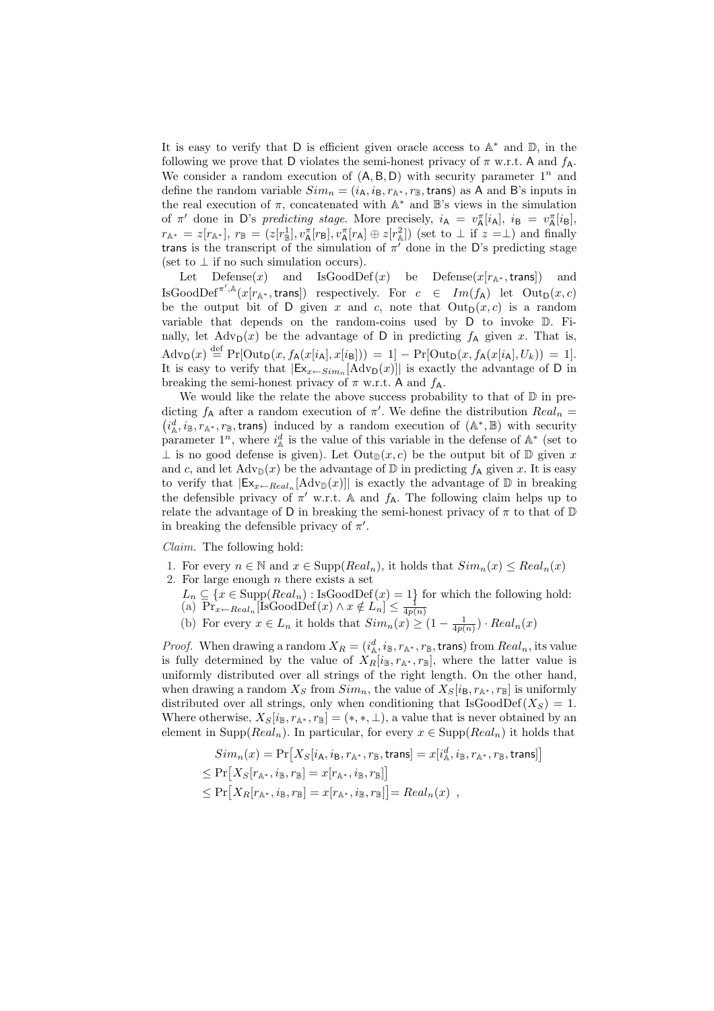It is easy to verify that  $D$  is efficient given oracle access to  $A^*$  and  $D$ , in the following we prove that D violates the semi-honest privacy of  $\pi$  w.r.t. A and  $f_A$ . We consider a random execution of  $(A, B, D)$  with security parameter  $1^n$  and define the random variable  $Sim_n = (i_A, i_B, r_{\mathbb{A}^*}, r_{\mathbb{B}}, \text{trans})$  as A and B's inputs in the real execution of  $\pi$ , concatenated with  $\mathbb{A}^*$  and  $\mathbb{B}$ 's views in the simulation of  $\pi'$  done in D's predicting stage. More precisely,  $i_A = v_A^{\pi}[i_A], i_B = v_A^{\pi}[i_B],$  $r_{\mathbb{A}^*} = z[r_{\mathbb{A}^*}], r_{\mathbb{B}} = (z[r_{\mathbb{B}}^1], v_{\mathbb{A}}^{\pi}[r_{\mathsf{B}}], v_{\mathbb{A}}^{\pi}[r_{\mathsf{A}}] \oplus z[r_{\mathbb{A}}^2])$  (set to  $\perp$  if  $z = \perp$ ) and finally trans is the transcript of the simulation of  $\pi$  done in the D's predicting stage (set to  $\perp$  if no such simulation occurs).

Let Defense $(x)$  and IsGoodDef $(x)$  be Defense $(x[r_{\mathbb{A}^*}, \text{trans}])$  and IsGoodDef<sup> $\pi'$ ,  $\mathbb{A}(x[r_{\mathbb{A}^*}, \text{trans}])$  respectively. For  $c \in Im(f_{\mathsf{A}})$  let  $Out_{\mathsf{D}}(x, c)$ </sup> be the output bit of D given x and c, note that  $Out_D(x, c)$  is a random variable that depends on the random-coins used by D to invoke D. Finally, let  $\text{Adv}_{\mathsf{D}}(x)$  be the advantage of D in predicting  $f_{\mathsf{A}}$  given x. That is,  $\mathrm{Adv}_{\mathsf{D}}(x) \stackrel{\text{def}}{=} \Pr[\mathrm{Out}_{\mathsf{D}}(x, f_{\mathsf{A}}(x[i_{\mathsf{A}}], x[i_{\mathsf{B}}])) = 1] - \Pr[\mathrm{Out}_{\mathsf{D}}(x, f_{\mathsf{A}}(x[i_{\mathsf{A}}], U_{k})) = 1].$ It is easy to verify that  $|\mathsf{Ex}_{x \leftarrow Sim_n}[\text{Adv}_{\mathsf{D}}(x)]|$  is exactly the advantage of D in breaking the semi-honest privacy of  $\pi$  w.r.t. A and  $f_A$ .

We would like the relate the above success probability to that of  $D$  in predicting  $f_A$  after a random execution of  $\pi'$ . We define the distribution  $Real_n =$ icting  $f_A$  after a random execution of  $\pi$ . We define the distribution  $\text{Real}_n = i_A^d, i_B, r_{\mathbb{A}^*}, r_{\mathbb{B}},$  trans) induced by a random execution of  $(\mathbb{A}^*, \mathbb{B})$  with security parameter  $1^n$ , where  $i^d_\mathbb{A}$  is the value of this variable in the defense of  $\mathbb{A}^*$  (set to  $\perp$  is no good defense is given). Let Out<sub>D</sub> $(x, c)$  be the output bit of D given x and c, and let  $\text{Adv}_{\mathbb{D}}(x)$  be the advantage of  $\mathbb{D}$  in predicting  $f_{\mathsf{A}}$  given x. It is easy to verify that  $|\mathsf{Ex}_{x\leftarrow Real_n}[\text{Adv}_{\mathbb{D}}(x)]|$  is exactly the advantage of  $\mathbb D$  in breaking the defensible privacy of  $\pi'$  w.r.t. A and  $f_A$ . The following claim helps up to relate the advantage of D in breaking the semi-honest privacy of  $\pi$  to that of  $\mathbb D$ in breaking the defensible privacy of  $\pi'$ .

Claim. The following hold:

- 1. For every  $n \in \mathbb{N}$  and  $x \in \text{Supp}(Real_n)$ , it holds that  $Sim_n(x) \leq Real_n(x)$
- 2. For large enough  $n$  there exists a set
	- $L_n \subseteq \{x \in \text{Supp}(Real_n) : \text{IsGoodDef}(x) = 1\}$  for which the following hold:
	- (a)  $\overline{\Pr}_{x \leftarrow Real_n}$  [IsGoodDef $(x) \wedge x \notin L_n$ ]  $\leq \frac{1}{4p(n)}$ <br>
	(b) For every  $x \in L_n$  it holds that  $Sim_n(x) \geq (1 \frac{1}{4p(n)}) \cdot Real_n(x)$

*Proof.* When drawing a random  $X_R = (i^d_\mathbb{A}, i_\mathbb{B}, r_{\mathbb{A}^*}, r_\mathbb{B}, \text{trans})$  from  $Real_n$ , its value is fully determined by the value of  $X_R[i_B, r_{\mathbb{A}^*}, r_B]$ , where the latter value is uniformly distributed over all strings of the right length. On the other hand, when drawing a random  $X_S$  from  $Sim_n$ , the value of  $X_S[i_B, r_{\mathbb{A}^*}, r_{\mathbb{B}}]$  is uniformly distributed over all strings, only when conditioning that  $IsGoodDef(X<sub>S</sub>) = 1$ . Where otherwise,  $X_S[i_B, r_{\mathbb{A}^*}, r_B] = (*, *, \bot)$ , a value that is never obtained by an element in Supp( $Real_n$ ). In particular, for every  $x \in \text{Supp}(Real_n)$  it holds that

$$
Sim_n(x) = \Pr[X_S[i_A, i_B, r_{\mathbb{A}^*}, r_{\mathbb{B}}, \text{trans}] = x[i^d_{\mathbb{A}}, i_{\mathbb{B}}, r_{\mathbb{A}^*}, r_{\mathbb{B}}, \text{trans}]\n\leq \Pr[X_S[r_{\mathbb{A}^*}, i_{\mathbb{B}}, r_{\mathbb{B}}] = x[r_{\mathbb{A}^*}, i_{\mathbb{B}}, r_{\mathbb{B}}]]\n\leq \Pr[X_R[r_{\mathbb{A}^*}, i_{\mathbb{B}}, r_{\mathbb{B}}] = x[r_{\mathbb{A}^*}, i_{\mathbb{B}}, r_{\mathbb{B}}]] = Real_n(x) ,
$$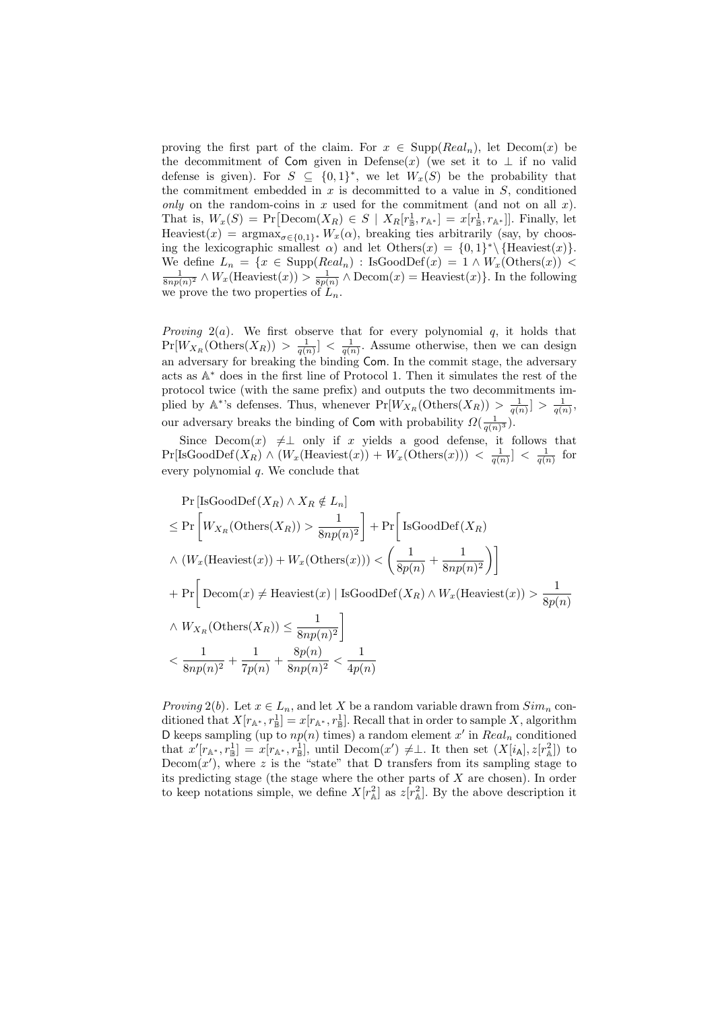proving the first part of the claim. For  $x \in \text{Supp}(Real_n)$ , let  $\text{Decom}(x)$  be the decommitment of Com given in Defense(x) (we set it to  $\perp$  if no valid defense is given). For  $S \subseteq \{0,1\}^*$ , we let  $W_x(S)$  be the probability that the commitment embedded in  $x$  is decommitted to a value in  $S$ , conditioned only on the random-coins in x used for the commitment (and not on all x). only on the random-coins in x used for the commitment (and not on all x).<br>That is,  $W_x(S) = Pr[Decom(X_R) \in S \mid X_R[r_{\mathbb{B}}^1, r_{\mathbb{A}^*}] = x[r_{\mathbb{B}}^1, r_{\mathbb{A}^*}]]$ . Finally, let Heaviest(x) =  $\argmax_{\sigma \in \{0,1\}^*} W_x(\alpha)$ , breaking ties arbitrarily (say, by choosing the lexicographic smallest  $\alpha$ ) and let Others $(x) = \{0,1\}^* \setminus {\text{Heaviest}(x)}$ . We define  $L_n = \{x \in \text{Supp}(Real_n) : \text{IsGoodDef}(x) = 1 \land W_x(\text{Others}(x)) < \frac{1}{8np(n)^2} \land W_x(\text{Heaviest}(x)) > \frac{1}{8p(n)} \land \text{Decom}(x) = \text{Heaviest}(x)\}.$  In the following we prove the two properties of  $L_n$ .

*Proving*  $2(a)$ . We first observe that for every polynomial q, it holds that  $Pr[W_{X_R}(\text{Others}(X_R)) > \frac{1}{q(n)}] < \frac{1}{q(n)}$ . Assume otherwise, then we can design an adversary for breaking the binding Com. In the commit stage, the adversary acts as A <sup>∗</sup> does in the first line of Protocol 1. Then it simulates the rest of the protocol twice (with the same prefix) and outputs the two decommitments implied by  $\mathbb{A}^*$ 's defenses. Thus, whenever  $Pr[W_{X_R}(\text{Others}(X_R)) > \frac{1}{q(n)}] > \frac{1}{q(n)}$ , our adversary breaks the binding of Com with probability  $\Omega(\frac{1}{q(n)^3})$ .

Since  $Decom(x) \neq \perp$  only if x yields a good defense, it follows that  $Pr[IsGoodDef(X_R) \wedge (W_x(Heaviest(x)) + W_x(Others(x))) < \frac{1}{q(n)}] < \frac{1}{q(n)}$  for every polynomial  $q$ . We conclude that

$$
\Pr\left[\text{IsGoodDef}(X_R) \land X_R \notin L_n\right] \\
\leq \Pr\left[W_{X_R}(\text{Others}(X_R)) > \frac{1}{8np(n)^2}\right] + \Pr\left[\text{IsGoodDef}(X_R) \\
\land \left(W_x(\text{Heaviest}(x)) + W_x(\text{Others}(x))\right) < \left(\frac{1}{8p(n)} + \frac{1}{8np(n)^2}\right)\right] \\
+ \Pr\left[\text{Decom}(x) \neq \text{Heaviest}(x) \mid \text{IsGoodDef}(X_R) \land W_x(\text{Heaviest}(x)) > \frac{1}{8p(n)} \\
\land W_{X_R}(\text{Others}(X_R)) \leq \frac{1}{8np(n)^2}\right] \\
< \frac{1}{8np(n)^2} + \frac{1}{7p(n)} + \frac{8p(n)}{8np(n)^2} < \frac{1}{4p(n)}
$$

*Proving* 2(b). Let  $x \in L_n$ , and let X be a random variable drawn from  $Sim_n$  conditioned that  $X[r_{\mathbb{A}^*}, r_{\mathbb{B}}^1] = x[r_{\mathbb{A}^*}, r_{\mathbb{B}}^1]$ . Recall that in order to sample X, algorithm D keeps sampling (up to  $np(n)$  times) a random element x' in  $Real_n$  conditioned that  $x'[r_{\mathbb{A}^*}, r_{\mathbb{B}}^1] = x[r_{\mathbb{A}^*}, r_{\mathbb{B}}^1]$ , until  $\text{Decom}(x') \neq \perp$ . It then set  $(X[i_{\mathsf{A}}], z[r_{\mathbb{A}}^2])$  to Decom $(x')$ , where z is the "state" that D transfers from its sampling stage to its predicting stage (the stage where the other parts of  $X$  are chosen). In order to keep notations simple, we define  $X[r_{\mathbb{A}}^2]$  as  $z[r_{\mathbb{A}}^2]$ . By the above description it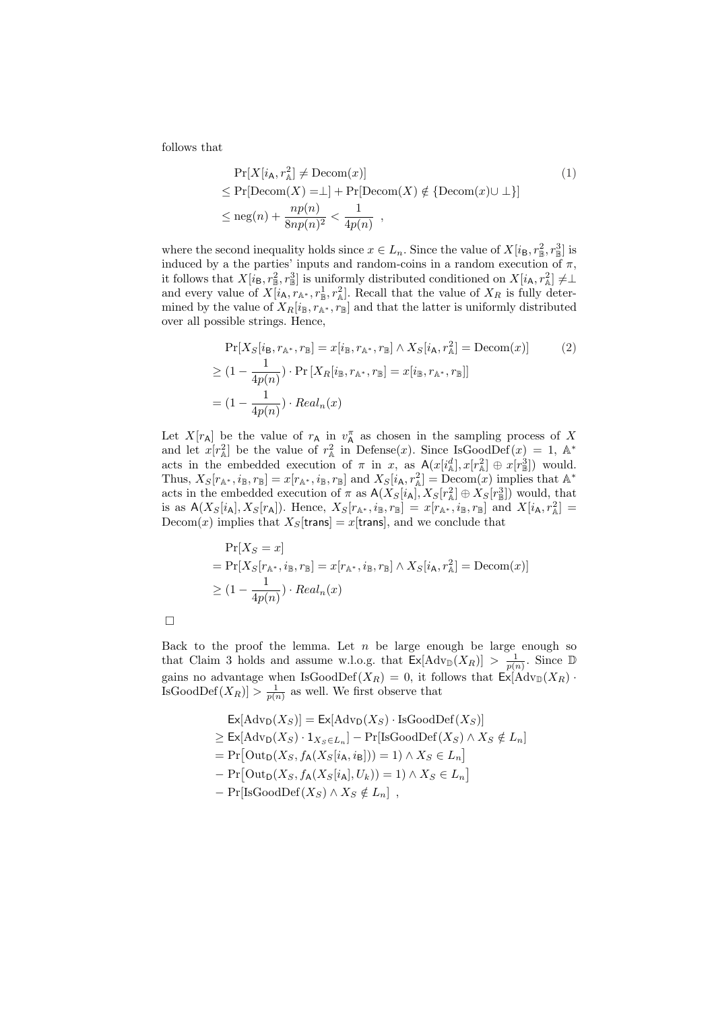follows that

$$
\Pr[X[i_{A}, r_{A}^{2}] \neq \text{Decom}(x)]
$$
\n
$$
\leq \Pr[\text{Decom}(X) = \perp] + \Pr[\text{Decom}(X) \notin \{\text{Decom}(x) \cup \perp\}]
$$
\n
$$
\leq \text{neg}(n) + \frac{np(n)}{8np(n)^{2}} < \frac{1}{4p(n)},
$$
\n
$$
(1)
$$

where the second inequality holds since  $x \in L_n$ . Since the value of  $X[i_B, r_\mathbb{B}^2, r_\mathbb{B}^3]$  is induced by a the parties' inputs and random-coins in a random execution of  $\pi$ , it follows that  $X[i_B, r_\mathbb{B}^2, r_\mathbb{B}^3]$  is uniformly distributed conditioned on  $X[i_A, r_\mathbb{A}^2] \neq \perp$ and every value of  $X[i_{\mathsf{A}}, r_{\mathbb{A}^*}, r_{\mathbb{B}}^1, r_{\mathbb{A}}^2]$ . Recall that the value of  $X_R$  is fully determined by the value of  $X_R[i_B, r_{\mathbb{A}^*}, r_B]$  and that the latter is uniformly distributed over all possible strings. Hence,

$$
\Pr[X_S[i_\mathsf{B}, r_{\mathbb{A}^*}, r_{\mathbb{B}}] = x[i_\mathsf{B}, r_{\mathbb{A}^*}, r_{\mathbb{B}}] \wedge X_S[i_\mathsf{A}, r_{\mathbb{A}}^2] = \text{Decom}(x)] \tag{2}
$$
\n
$$
\geq (1 - \frac{1}{4p(n)}) \cdot \Pr[X_R[i_\mathsf{B}, r_{\mathbb{A}^*}, r_{\mathbb{B}}] = x[i_\mathsf{B}, r_{\mathbb{A}^*}, r_{\mathbb{B}}]]
$$
\n
$$
= (1 - \frac{1}{4p(n)}) \cdot Real_n(x)
$$

Let  $X[r_A]$  be the value of  $r_A$  in  $v_A^{\pi}$  as chosen in the sampling process of X and let  $x[r_{\mathbb{A}}^2]$  be the value of  $r_{\mathbb{A}}^2$  in Defense(x). Since IsGoodDef(x) = 1, A\* acts in the embedded execution of  $\pi$  in x, as  $A(x[i^d_A], x[r^2_A] \oplus x[r^3_B])$  would. Thus,  $X_S[r_{\mathbb{A}^*}, i_{\mathbb{B}}, r_{\mathbb{B}}] = x[r_{\mathbb{A}^*}, i_{\mathbb{B}}, r_{\mathbb{B}}]$  and  $X_S[i_{\mathsf{A}}, r_{\mathbb{A}}^2] = \text{Decom}(x)$  implies that  $\mathbb{A}^*$ acts in the embedded execution of  $\pi$  as  $A(X_S[i_A], X_S[r_A^2] \oplus X_S[r_B^3])$  would, that is as  $A(X_S[i_A], X_S[r_A])$ . Hence,  $X_S[r_{\mathbb{A}^*}, i_{\mathbb{B}}, r_{\mathbb{B}}] = x[r_{\mathbb{A}^*}, i_{\mathbb{B}}, r_{\mathbb{B}}]$  and  $X[i_{\mathsf{A}}, r_{\mathbb{A}}^2] =$ Decom(x) implies that  $X_S$ [trans] = x[trans], and we conclude that

$$
\Pr[X_S = x]
$$
  
=  $\Pr[X_S[r_{\mathbb{A}^*}, i_{\mathbb{B}}, r_{\mathbb{B}}] = x[r_{\mathbb{A}^*}, i_{\mathbb{B}}, r_{\mathbb{B}}] \wedge X_S[i_{\mathsf{A}}, r_{\mathbb{A}}^2] = \text{Decom}(x)]$   
 $\geq (1 - \frac{1}{4p(n)}) \cdot Real_n(x)$ 

Back to the proof the lemma. Let  $n$  be large enough be large enough so that Claim 3 holds and assume w.l.o.g. that  $\mathsf{Ex}[\text{Adv}_{\mathbb{D}}(X_R)] > \frac{1}{p(n)}$ . Since  $\mathbb{D}$ gains no advantage when IsGoodDef( $X_R$ ) = 0, it follows that  $\text{Ex}[\text{Adv}_{\mathbb{D}}(X_R)$ . IsGoodDef $(X_R)$  >  $\frac{1}{p(n)}$  as well. We first observe that

> $\text{Ex}[\text{Adv}_{\text{D}}(X_S)] = \text{Ex}[\text{Adv}_{\text{D}}(X_S) \cdot \text{IsGoodDef}(X_S)]$  $\geq \mathsf{Ex}[\text{Adv}_{\mathsf{D}}(X_S) \cdot 1_{X_S \in L_n}] - \Pr[\text{IsGoodDef}(X_S) \wedge X_S \notin L_n]$  $= Pr\left[Out_D(X_S, f_A(X_S[i_A, i_B])) = 1\right) \wedge X_S \in L_n$ י<br>י  $- Pr[Out_D(X_S, f_A(X_S[i_A], U_k))] = 1) \wedge X_S \in L_n$ l<br>E  $-$  Pr[IsGoodDef( $X_S$ ) ∧  $X_S \notin L_n$ ],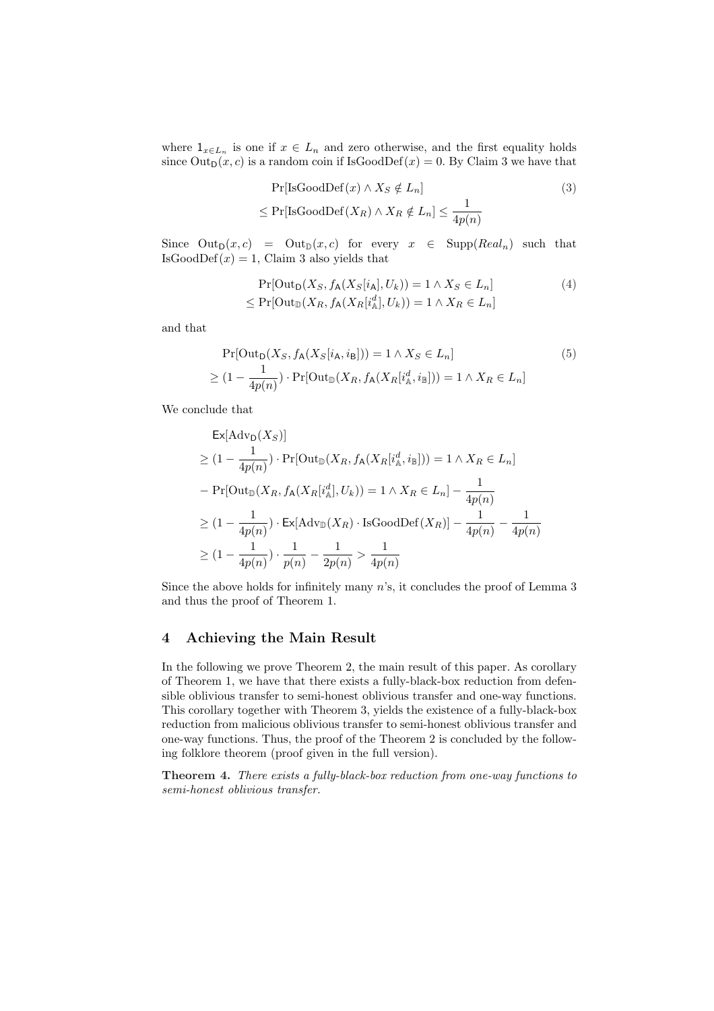where  $1_{x\in L_n}$  is one if  $x\in L_n$  and zero otherwise, and the first equality holds since  $Out_D(x, c)$  is a random coin if IsGoodDef(x) = 0. By Claim 3 we have that

$$
Pr[IsGoodDef(x) \land X_S \notin L_n]
$$
  
\n
$$
\leq Pr[IsGoodDef(X_R) \land X_R \notin L_n] \leq \frac{1}{4p(n)}
$$
\n(3)

Since  $Out_D(x, c) = Out_D(x, c)$  for every  $x \in Supp(Real_n)$  such that IsGoodDef $(x) = 1$ , Claim 3 also yields that

$$
\Pr[\text{Out}_{\mathsf{D}}(X_S, f_{\mathsf{A}}(X_S[i_{\mathsf{A}}], U_k)) = 1 \land X_S \in L_n]
$$
  
\n
$$
\leq \Pr[\text{Out}_{\mathbb{D}}(X_R, f_{\mathsf{A}}(X_R[i_{\mathsf{A}}^d], U_k)) = 1 \land X_R \in L_n]
$$
\n(4)

and that

$$
\Pr[\text{Out}_{\mathsf{D}}(X_S, f_{\mathsf{A}}(X_S[i_{\mathsf{A}}, i_{\mathsf{B}}])) = 1 \land X_S \in L_n]
$$
\n
$$
\geq (1 - \frac{1}{4p(n)}) \cdot \Pr[\text{Out}_{\mathbb{D}}(X_R, f_{\mathsf{A}}(X_R[i_{\mathsf{A}}^d, i_{\mathbb{B}}])) = 1 \land X_R \in L_n]
$$
\n(5)

We conclude that

$$
\mathsf{Ex}[\mathrm{Adv}_{\mathsf{D}}(X_S)]
$$
\n
$$
\geq (1 - \frac{1}{4p(n)}) \cdot \Pr[\mathrm{Out}_{\mathbb{D}}(X_R, f_{\mathsf{A}}(X_R[i^d_{\mathbb{A}}, i_{\mathbb{B}}])) = 1 \land X_R \in L_n]
$$
\n
$$
- \Pr[\mathrm{Out}_{\mathbb{D}}(X_R, f_{\mathsf{A}}(X_R[i^d_{\mathbb{A}}], U_k)) = 1 \land X_R \in L_n] - \frac{1}{4p(n)}
$$
\n
$$
\geq (1 - \frac{1}{4p(n)}) \cdot \mathsf{Ex}[\mathrm{Adv}_{\mathbb{D}}(X_R) \cdot \mathrm{IsGoodDef}(X_R)] - \frac{1}{4p(n)} - \frac{1}{4p(n)}
$$
\n
$$
\geq (1 - \frac{1}{4p(n)}) \cdot \frac{1}{p(n)} - \frac{1}{2p(n)} > \frac{1}{4p(n)}
$$

Since the above holds for infinitely many  $n$ 's, it concludes the proof of Lemma 3 and thus the proof of Theorem 1.

# 4 Achieving the Main Result

In the following we prove Theorem 2, the main result of this paper. As corollary of Theorem 1, we have that there exists a fully-black-box reduction from defensible oblivious transfer to semi-honest oblivious transfer and one-way functions. This corollary together with Theorem 3, yields the existence of a fully-black-box reduction from malicious oblivious transfer to semi-honest oblivious transfer and one-way functions. Thus, the proof of the Theorem 2 is concluded by the following folklore theorem (proof given in the full version).

Theorem 4. There exists a fully-black-box reduction from one-way functions to semi-honest oblivious transfer.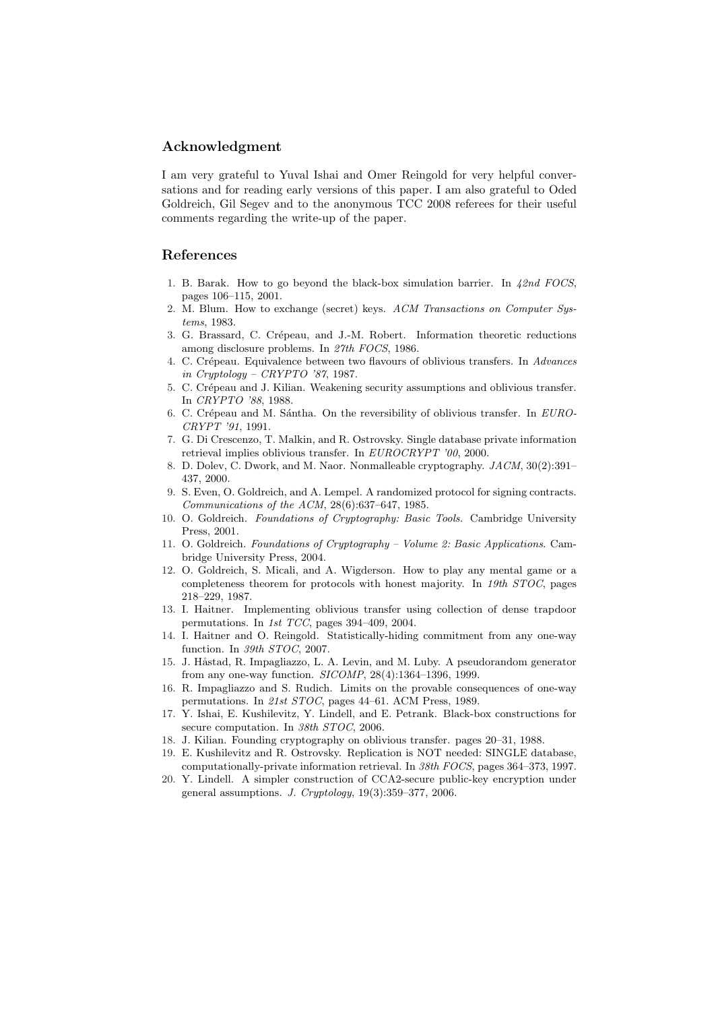# Acknowledgment

I am very grateful to Yuval Ishai and Omer Reingold for very helpful conversations and for reading early versions of this paper. I am also grateful to Oded Goldreich, Gil Segev and to the anonymous TCC 2008 referees for their useful comments regarding the write-up of the paper.

# References

- 1. B. Barak. How to go beyond the black-box simulation barrier. In  $42nd$  FOCS, pages 106–115, 2001.
- 2. M. Blum. How to exchange (secret) keys. ACM Transactions on Computer Systems, 1983.
- 3. G. Brassard, C. Crépeau, and J.-M. Robert. Information theoretic reductions among disclosure problems. In 27th FOCS, 1986.
- 4. C. Crépeau. Equivalence between two flavours of oblivious transfers. In Advances in Cryptology – CRYPTO '87, 1987.
- 5. C. Crépeau and J. Kilian. Weakening security assumptions and oblivious transfer. In CRYPTO '88, 1988.
- 6. C. Crépeau and M. Sántha. On the reversibility of oblivious transfer. In EURO-CRYPT '91, 1991.
- 7. G. Di Crescenzo, T. Malkin, and R. Ostrovsky. Single database private information retrieval implies oblivious transfer. In EUROCRYPT '00, 2000.
- 8. D. Dolev, C. Dwork, and M. Naor. Nonmalleable cryptography. JACM, 30(2):391– 437, 2000.
- 9. S. Even, O. Goldreich, and A. Lempel. A randomized protocol for signing contracts. Communications of the ACM, 28(6):637–647, 1985.
- 10. O. Goldreich. Foundations of Cryptography: Basic Tools. Cambridge University Press, 2001.
- 11. O. Goldreich. Foundations of Cryptography Volume 2: Basic Applications. Cambridge University Press, 2004.
- 12. O. Goldreich, S. Micali, and A. Wigderson. How to play any mental game or a completeness theorem for protocols with honest majority. In 19th STOC, pages 218–229, 1987.
- 13. I. Haitner. Implementing oblivious transfer using collection of dense trapdoor permutations. In 1st TCC, pages 394–409, 2004.
- 14. I. Haitner and O. Reingold. Statistically-hiding commitment from any one-way function. In 39th STOC, 2007.
- 15. J. Håstad, R. Impagliazzo, L. A. Levin, and M. Luby. A pseudorandom generator from any one-way function. SICOMP, 28(4):1364–1396, 1999.
- 16. R. Impagliazzo and S. Rudich. Limits on the provable consequences of one-way permutations. In 21st STOC, pages 44–61. ACM Press, 1989.
- 17. Y. Ishai, E. Kushilevitz, Y. Lindell, and E. Petrank. Black-box constructions for secure computation. In 38th STOC, 2006.
- 18. J. Kilian. Founding cryptography on oblivious transfer. pages 20–31, 1988.
- 19. E. Kushilevitz and R. Ostrovsky. Replication is NOT needed: SINGLE database, computationally-private information retrieval. In 38th FOCS, pages 364–373, 1997.
- 20. Y. Lindell. A simpler construction of CCA2-secure public-key encryption under general assumptions. J. Cryptology, 19(3):359–377, 2006.